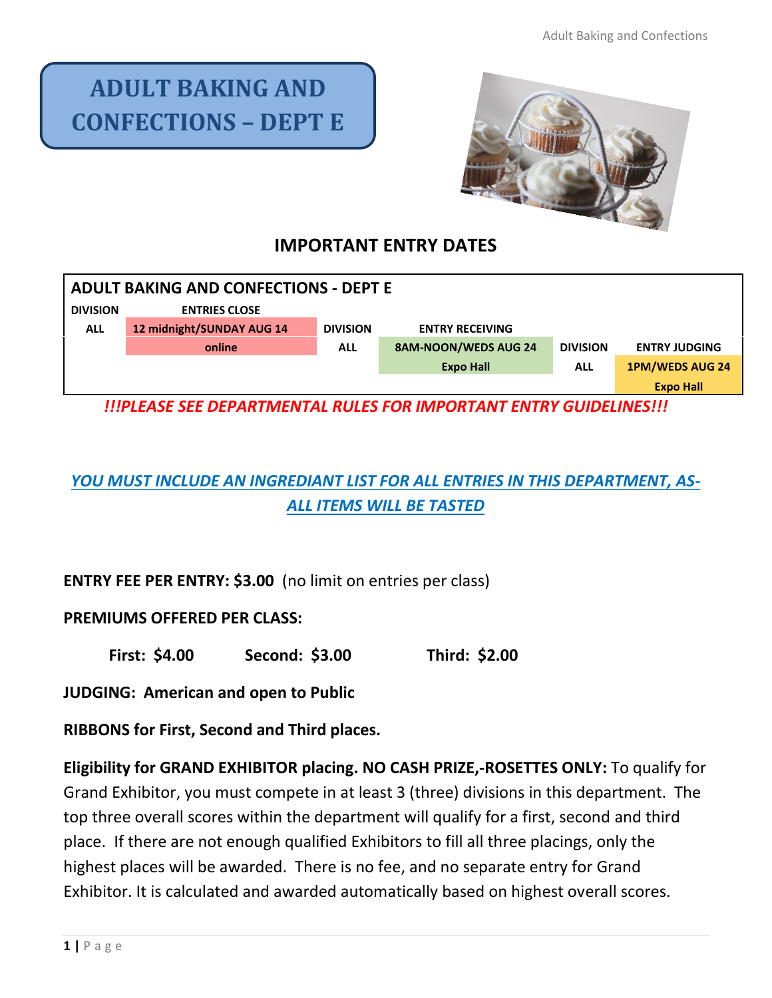# **ADULT BAKING AND CONFECTIONS – DEPT E**



# **IMPORTANT ENTRY DATES**

| <b>ADULT BAKING AND CONFECTIONS - DEPT E</b> |                           |                 |                        |                 |                        |
|----------------------------------------------|---------------------------|-----------------|------------------------|-----------------|------------------------|
| <b>DIVISION</b>                              | <b>ENTRIES CLOSE</b>      |                 |                        |                 |                        |
| <b>ALL</b>                                   | 12 midnight/SUNDAY AUG 14 | <b>DIVISION</b> | <b>ENTRY RECEIVING</b> |                 |                        |
|                                              | online                    | <b>ALL</b>      | 8AM-NOON/WEDS AUG 24   | <b>DIVISION</b> | <b>ENTRY JUDGING</b>   |
|                                              |                           |                 | <b>Expo Hall</b>       | <b>ALL</b>      | <b>1PM/WEDS AUG 24</b> |
|                                              |                           |                 |                        |                 | <b>Expo Hall</b>       |

*!!!PLEASE SEE DEPARTMENTAL RULES FOR IMPORTANT ENTRY GUIDELINES!!!*

# *YOU MUST INCLUDE AN INGREDIANT LIST FOR ALL ENTRIES IN THIS DEPARTMENT, AS-ALL ITEMS WILL BE TASTED*

**ENTRY FEE PER ENTRY: \$3.00** (no limit on entries per class)

#### **PREMIUMS OFFERED PER CLASS:**

**First: \$4.00 Second: \$3.00 Third: \$2.00**

**JUDGING: American and open to Public**

**RIBBONS for First, Second and Third places.** 

**Eligibility for GRAND EXHIBITOR placing. NO CASH PRIZE,-ROSETTES ONLY:** To qualify for Grand Exhibitor, you must compete in at least 3 (three) divisions in this department. The top three overall scores within the department will qualify for a first, second and third place. If there are not enough qualified Exhibitors to fill all three placings, only the highest places will be awarded. There is no fee, and no separate entry for Grand Exhibitor. It is calculated and awarded automatically based on highest overall scores.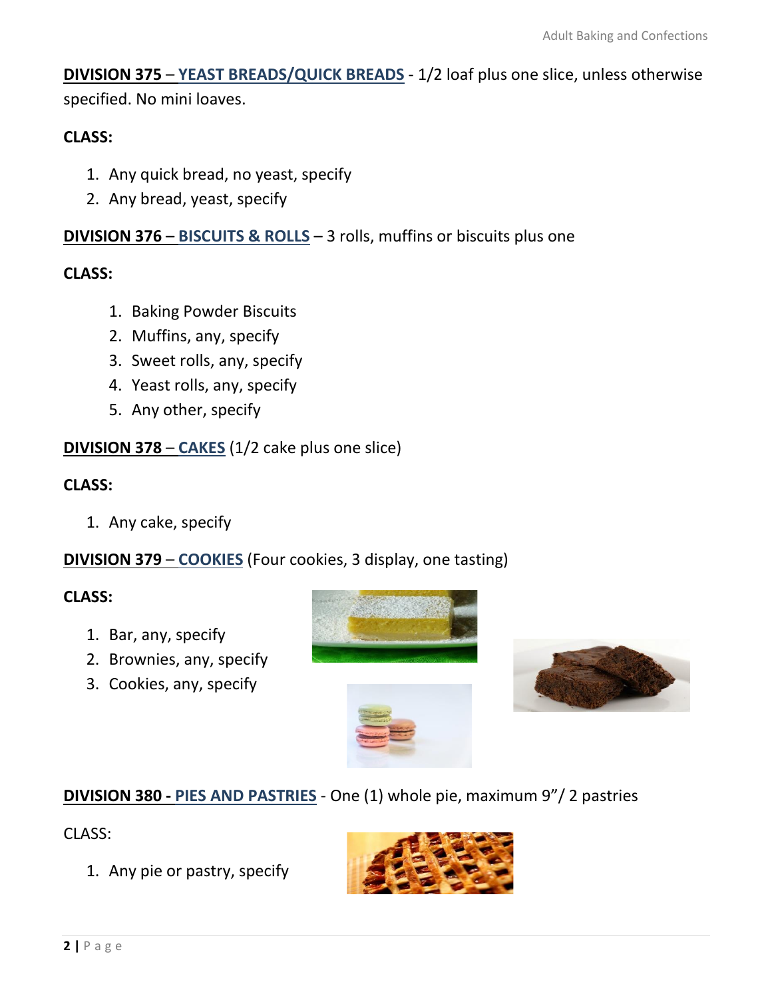**DIVISION 375** – **YEAST BREADS/QUICK BREADS** - 1/2 loaf plus one slice, unless otherwise specified. No mini loaves.

### **CLASS:**

- 1. Any quick bread, no yeast, specify
- 2. Any bread, yeast, specify

## **DIVISION 376** – **BISCUITS & ROLLS** – 3 rolls, muffins or biscuits plus one

#### **CLASS:**

- 1. Baking Powder Biscuits
- 2. Muffins, any, specify
- 3. Sweet rolls, any, specify
- 4. Yeast rolls, any, specify
- 5. Any other, specify

# **DIVISION 378** – **CAKES** (1/2 cake plus one slice)

#### **CLASS:**

1. Any cake, specify

# **DIVISION 379** – **COOKIES** (Four cookies, 3 display, one tasting)

#### **CLASS:**

- 1. Bar, any, specify
- 2. Brownies, any, specify
- 3. Cookies, any, specify





# **DIVISION 380 - PIES AND PASTRIES** - One (1) whole pie, maximum 9"/ 2 pastries

#### CLASS:

1. Any pie or pastry, specify

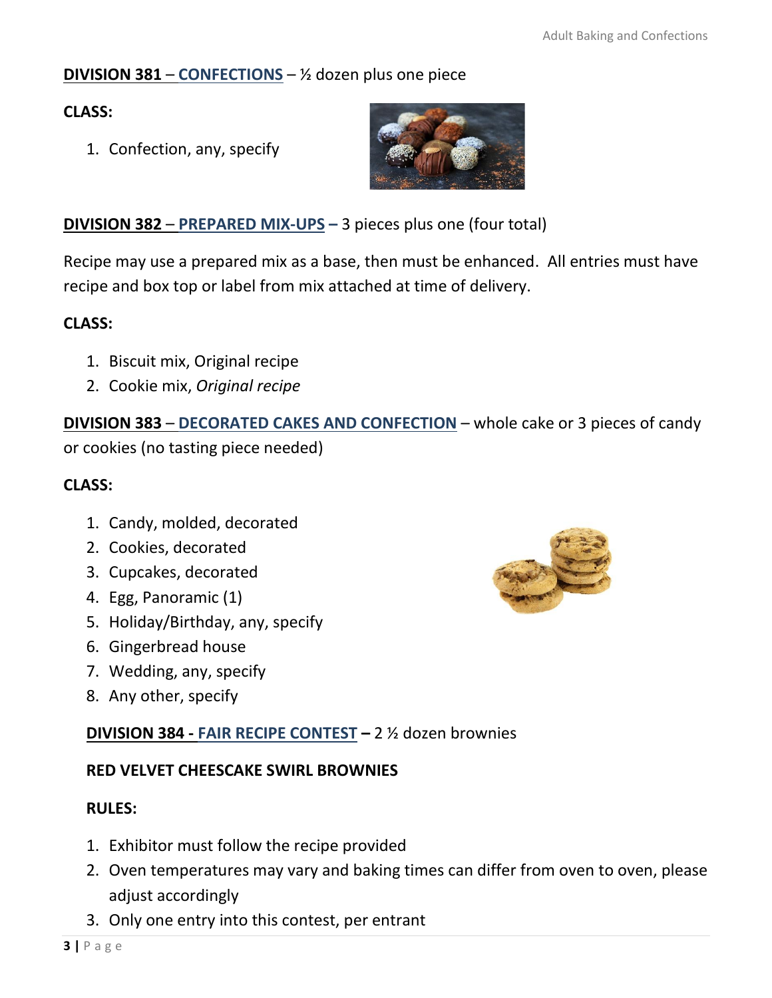# **DIVISION 381** – **CONFECTIONS** – ½ dozen plus one piece

## **CLASS:**

1. Confection, any, specify

#### **DIVISION 382** – **PREPARED MIX-UPS –** 3 pieces plus one (four total)

Recipe may use a prepared mix as a base, then must be enhanced. All entries must have recipe and box top or label from mix attached at time of delivery.

#### **CLASS:**

- 1. Biscuit mix, Original recipe
- 2. Cookie mix, *Original recipe*

**DIVISION 383** – **DECORATED CAKES AND CONFECTION** – whole cake or 3 pieces of candy or cookies (no tasting piece needed)

#### **CLASS:**

- 1. Candy, molded, decorated
- 2. Cookies, decorated
- 3. Cupcakes, decorated
- 4. Egg, Panoramic (1)
- 5. Holiday/Birthday, any, specify
- 6. Gingerbread house
- 7. Wedding, any, specify
- 8. Any other, specify

# **DIVISION 384 - FAIR RECIPE CONTEST –** 2 ½ dozen brownies

#### **RED VELVET CHEESCAKE SWIRL BROWNIES**

#### **RULES:**

- 1. Exhibitor must follow the recipe provided
- 2. Oven temperatures may vary and baking times can differ from oven to oven, please adjust accordingly
- 3. Only one entry into this contest, per entrant



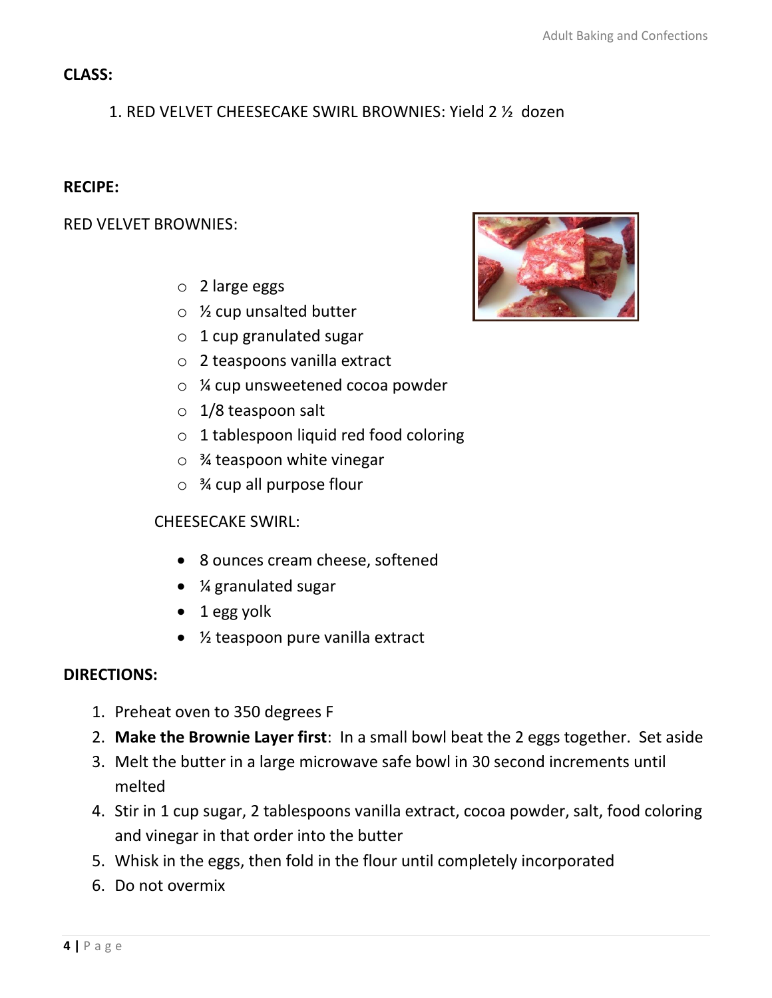#### **CLASS:**

# 1. RED VELVET CHEESECAKE SWIRL BROWNIES: Yield 2 ½ dozen

#### **RECIPE:**

RED VELVET BROWNIES:

- o 2 large eggs
- $\circ$  % cup unsalted butter
- $\circ$  1 cup granulated sugar
- o 2 teaspoons vanilla extract
- o ¼ cup unsweetened cocoa powder
- $\circ$  1/8 teaspoon salt
- o 1 tablespoon liquid red food coloring
- o ¾ teaspoon white vinegar
- $\circ$  % cup all purpose flour

#### CHEESECAKE SWIRL:

- 8 ounces cream cheese, softened
- ¼ granulated sugar
- 1 egg yolk
- ½ teaspoon pure vanilla extract

#### **DIRECTIONS:**

- 1. Preheat oven to 350 degrees F
- 2. **Make the Brownie Layer first**: In a small bowl beat the 2 eggs together. Set aside
- 3. Melt the butter in a large microwave safe bowl in 30 second increments until melted
- 4. Stir in 1 cup sugar, 2 tablespoons vanilla extract, cocoa powder, salt, food coloring and vinegar in that order into the butter
- 5. Whisk in the eggs, then fold in the flour until completely incorporated
- 6. Do not overmix